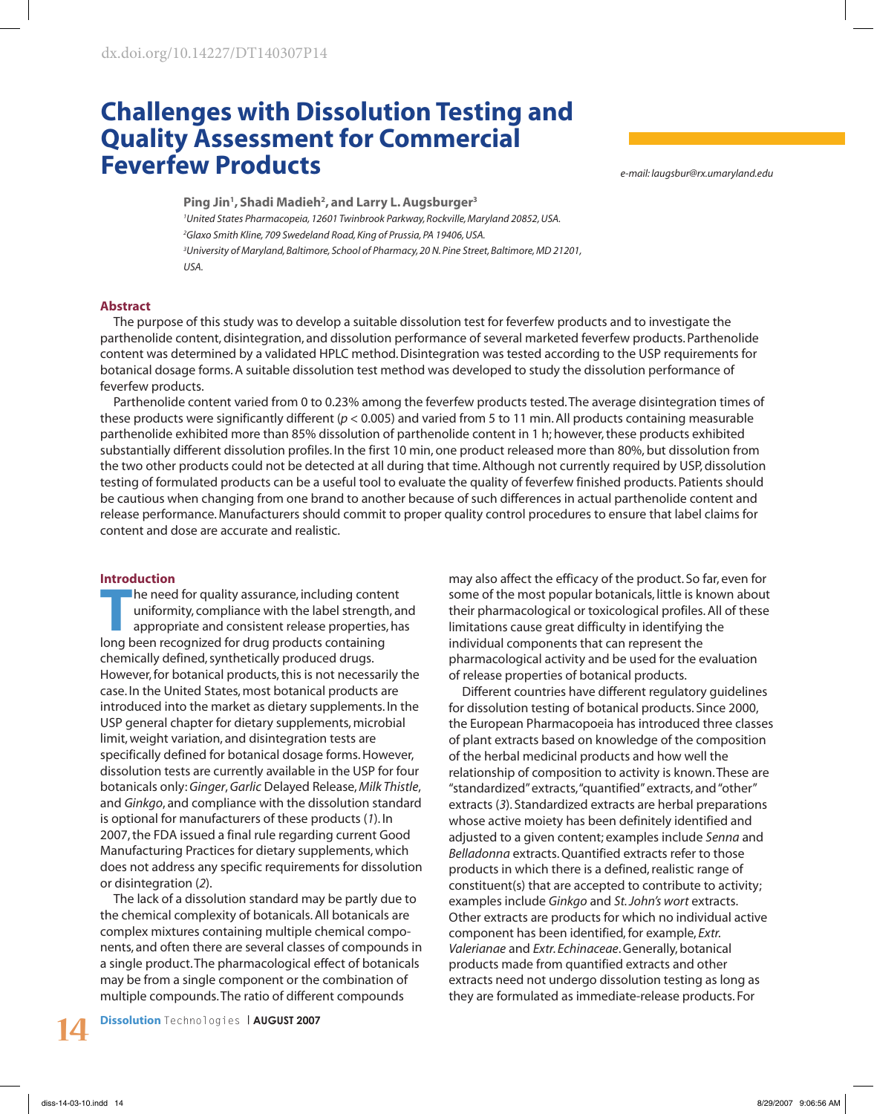# **Challenges with Dissolution Testing and Quality Assessment for Commercial Feverfew Products**

*e-mail: laugsbur@rx.umaryland.edu*

**Ping Jin1 , Shadi Madieh2 , and Larry L. Augsburger3** *1 United States Pharmacopeia, 12601 Twinbrook Parkway, Rockville, Maryland 20852, USA. 2 Glaxo Smith Kline, 709 Swedeland Road, King of Prussia, PA 19406, USA. 3 University of Maryland, Baltimore, School of Pharmacy, 20 N. Pine Street, Baltimore, MD 21201, USA.*

#### **Abstract**

The purpose of this study was to develop a suitable dissolution test for feverfew products and to investigate the parthenolide content, disintegration, and dissolution performance of several marketed feverfew products. Parthenolide content was determined by a validated HPLC method. Disintegration was tested according to the USP requirements for botanical dosage forms. A suitable dissolution test method was developed to study the dissolution performance of feverfew products.

Parthenolide content varied from 0 to 0.23% among the feverfew products tested. The average disintegration times of these products were significantly different (*p* < 0.005) and varied from 5 to 11 min. All products containing measurable parthenolide exhibited more than 85% dissolution of parthenolide content in 1 h; however, these products exhibited substantially different dissolution profiles. In the first 10 min, one product released more than 80%, but dissolution from the two other products could not be detected at all during that time. Although not currently required by USP, dissolution testing of formulated products can be a useful tool to evaluate the quality of feverfew finished products. Patients should be cautious when changing from one brand to another because of such differences in actual parthenolide content and release performance. Manufacturers should commit to proper quality control procedures to ensure that label claims for content and dose are accurate and realistic.

#### **Introduction**

The need for quality assurance, including content<br>uniformity, compliance with the label strength, are<br>appropriate and consistent release properties, has uniformity, compliance with the label strength, and appropriate and consistent release properties, has long been recognized for drug products containing chemically defined, synthetically produced drugs. However, for botanical products, this is not necessarily the case. In the United States, most botanical products are introduced into the market as dietary supplements. In the USP general chapter for dietary supplements, microbial limit, weight variation, and disintegration tests are specifically defined for botanical dosage forms. However, dissolution tests are currently available in the USP for four botanicals only: *Ginger*, *Garlic* Delayed Release, *Milk Thistle*, and *Ginkgo*, and compliance with the dissolution standard is optional for manufacturers of these products (*1*). In 2007, the FDA issued a final rule regarding current Good Manufacturing Practices for dietary supplements, which does not address any specific requirements for dissolution or disintegration (*2*).

The lack of a dissolution standard may be partly due to the chemical complexity of botanicals. All botanicals are complex mixtures containing multiple chemical components, and often there are several classes of compounds in a single product. The pharmacological effect of botanicals may be from a single component or the combination of multiple compounds. The ratio of different compounds

**Dissolution** Technologies | **AUGUST 2007 14**

may also affect the efficacy of the product. So far, even for some of the most popular botanicals, little is known about their pharmacological or toxicological profiles. All of these limitations cause great difficulty in identifying the individual components that can represent the pharmacological activity and be used for the evaluation of release properties of botanical products.

Different countries have different regulatory guidelines for dissolution testing of botanical products. Since 2000, the European Pharmacopoeia has introduced three classes of plant extracts based on knowledge of the composition of the herbal medicinal products and how well the relationship of composition to activity is known. These are "standardized" extracts, "quantified" extracts, and "other" extracts (*3*). Standardized extracts are herbal preparations whose active moiety has been definitely identified and adjusted to a given content; examples include *Senna* and *Belladonna* extracts. Quantified extracts refer to those products in which there is a defined, realistic range of constituent(s) that are accepted to contribute to activity; examples include *Ginkgo* and *St. John's wort* extracts. Other extracts are products for which no individual active component has been identified, for example, *Extr. Valerianae* and *Extr. Echinaceae*. Generally, botanical products made from quantified extracts and other extracts need not undergo dissolution testing as long as they are formulated as immediate-release products. For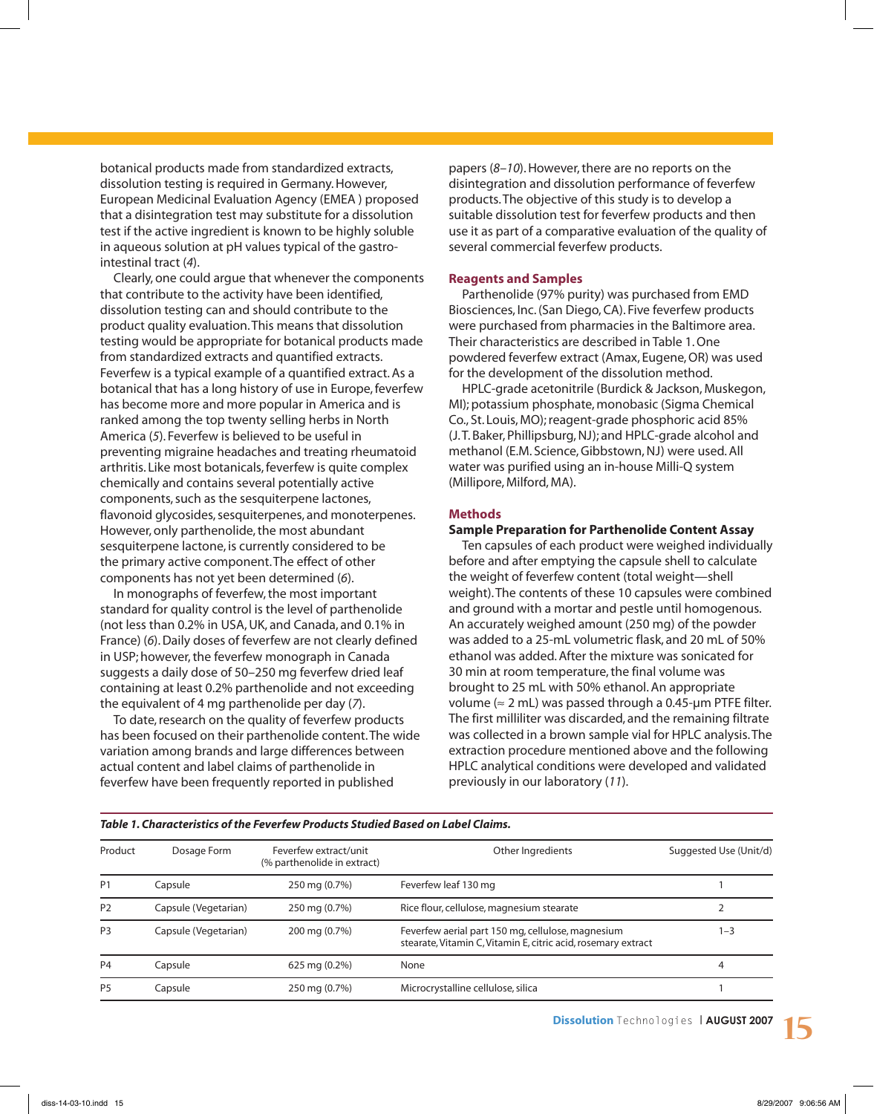botanical products made from standardized extracts, dissolution testing is required in Germany. However, European Medicinal Evaluation Agency (EMEA ) proposed that a disintegration test may substitute for a dissolution test if the active ingredient is known to be highly soluble in aqueous solution at pH values typical of the gastrointestinal tract (*4*).

Clearly, one could argue that whenever the components that contribute to the activity have been identified, dissolution testing can and should contribute to the product quality evaluation. This means that dissolution testing would be appropriate for botanical products made from standardized extracts and quantified extracts. Feverfew is a typical example of a quantified extract. As a botanical that has a long history of use in Europe, feverfew has become more and more popular in America and is ranked among the top twenty selling herbs in North America (*5*). Feverfew is believed to be useful in preventing migraine headaches and treating rheumatoid arthritis. Like most botanicals, feverfew is quite complex chemically and contains several potentially active components, such as the sesquiterpene lactones, flavonoid glycosides, sesquiterpenes, and monoterpenes. However, only parthenolide, the most abundant sesquiterpene lactone, is currently considered to be the primary active component. The effect of other components has not yet been determined (*6*).

In monographs of feverfew, the most important standard for quality control is the level of parthenolide (not less than 0.2% in USA, UK, and Canada, and 0.1% in France) (*6*). Daily doses of feverfew are not clearly defined in USP; however, the feverfew monograph in Canada suggests a daily dose of 50–250 mg feverfew dried leaf containing at least 0.2% parthenolide and not exceeding the equivalent of 4 mg parthenolide per day (*7*).

To date, research on the quality of feverfew products has been focused on their parthenolide content. The wide variation among brands and large differences between actual content and label claims of parthenolide in feverfew have been frequently reported in published

*Table 1. Characteristics of the Feverfew Products Studied Based on Label Claims.*

papers (*8*–*10*). However, there are no reports on the disintegration and dissolution performance of feverfew products. The objective of this study is to develop a suitable dissolution test for feverfew products and then use it as part of a comparative evaluation of the quality of several commercial feverfew products.

#### **Reagents and Samples**

Parthenolide (97% purity) was purchased from EMD Biosciences, Inc. (San Diego, CA). Five feverfew products were purchased from pharmacies in the Baltimore area. Their characteristics are described in Table 1. One powdered feverfew extract (Amax, Eugene, OR) was used for the development of the dissolution method.

HPLC-grade acetonitrile (Burdick & Jackson, Muskegon, MI); potassium phosphate, monobasic (Sigma Chemical Co., St. Louis, MO); reagent-grade phosphoric acid 85% (J. T. Baker, Phillipsburg, NJ); and HPLC-grade alcohol and methanol (E.M. Science, Gibbstown, NJ) were used. All water was purified using an in-house Milli-Q system (Millipore, Milford, MA).

# **Methods**

## **Sample Preparation for Parthenolide Content Assay**

Ten capsules of each product were weighed individually before and after emptying the capsule shell to calculate the weight of feverfew content (total weight—shell weight). The contents of these 10 capsules were combined and ground with a mortar and pestle until homogenous. An accurately weighed amount (250 mg) of the powder was added to a 25-mL volumetric flask, and 20 mL of 50% ethanol was added. After the mixture was sonicated for 30 min at room temperature, the final volume was brought to 25 mL with 50% ethanol. An appropriate volume ( $\approx$  2 mL) was passed through a 0.45-µm PTFE filter. The first milliliter was discarded, and the remaining filtrate was collected in a brown sample vial for HPLC analysis. The extraction procedure mentioned above and the following HPLC analytical conditions were developed and validated previously in our laboratory (*11*).

| Table T. Characteristics of the Feverfew Products Studied Based on Label Claims. |                      |                                                      |                                                                                                                    |                        |
|----------------------------------------------------------------------------------|----------------------|------------------------------------------------------|--------------------------------------------------------------------------------------------------------------------|------------------------|
| Product                                                                          | Dosage Form          | Feverfew extract/unit<br>(% parthenolide in extract) | Other Ingredients                                                                                                  | Suggested Use (Unit/d) |
| <b>P1</b>                                                                        | Capsule              | 250 mg (0.7%)                                        | Feverfew leaf 130 mg                                                                                               |                        |
| P <sub>2</sub>                                                                   | Capsule (Vegetarian) | 250 mg (0.7%)                                        | Rice flour, cellulose, magnesium stearate                                                                          |                        |
| P <sub>3</sub>                                                                   | Capsule (Vegetarian) | 200 mg (0.7%)                                        | Feverfew aerial part 150 mg, cellulose, magnesium<br>stearate, Vitamin C, Vitamin E, citric acid, rosemary extract | 1–3                    |
| <b>P4</b>                                                                        | Capsule              | 625 mg (0.2%)                                        | None                                                                                                               | 4                      |
| P <sub>5</sub>                                                                   | Capsule              | 250 mg (0.7%)                                        | Microcrystalline cellulose, silica                                                                                 |                        |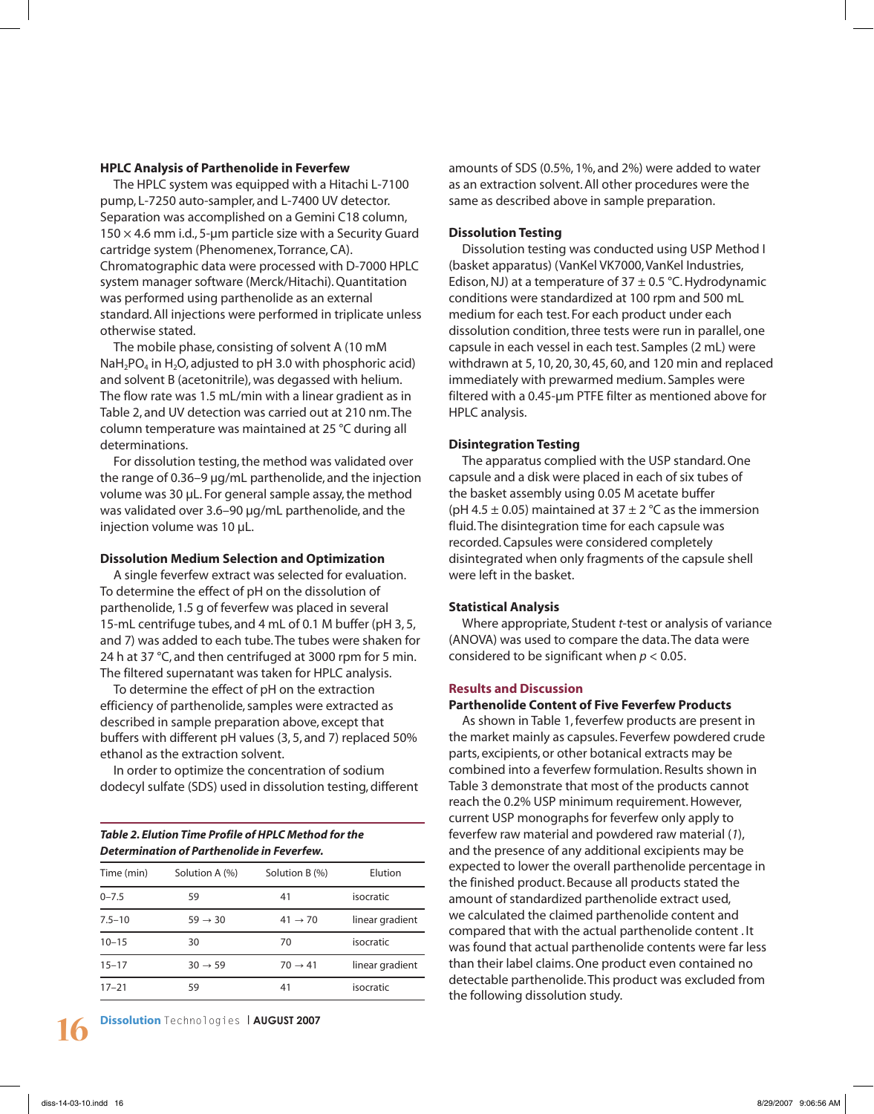#### **HPLC Analysis of Parthenolide in Feverfew**

The HPLC system was equipped with a Hitachi L-7100 pump, L-7250 auto-sampler, and L-7400 UV detector. Separation was accomplished on a Gemini C18 column,  $150 \times 4.6$  mm i.d., 5-um particle size with a Security Guard cartridge system (Phenomenex, Torrance, CA). Chromatographic data were processed with D-7000 HPLC system manager software (Merck/Hitachi). Quantitation was performed using parthenolide as an external standard. All injections were performed in triplicate unless otherwise stated.

The mobile phase, consisting of solvent A (10 mM NaH<sub>2</sub>PO<sub>4</sub> in H<sub>2</sub>O, adjusted to pH 3.0 with phosphoric acid) and solvent B (acetonitrile), was degassed with helium. The flow rate was 1.5 mL/min with a linear gradient as in Table 2, and UV detection was carried out at 210 nm. The column temperature was maintained at 25 °C during all determinations.

For dissolution testing, the method was validated over the range of 0.36–9 µg/mL parthenolide, and the injection volume was 30 µL. For general sample assay, the method was validated over 3.6–90 µg/mL parthenolide, and the injection volume was 10 µL.

#### **Dissolution Medium Selection and Optimization**

A single feverfew extract was selected for evaluation. To determine the effect of pH on the dissolution of parthenolide, 1.5 g of feverfew was placed in several 15-mL centrifuge tubes, and 4 mL of 0.1 M buffer (pH 3, 5, and 7) was added to each tube. The tubes were shaken for 24 h at 37 °C, and then centrifuged at 3000 rpm for 5 min. The filtered supernatant was taken for HPLC analysis.

To determine the effect of pH on the extraction efficiency of parthenolide, samples were extracted as described in sample preparation above, except that buffers with different pH values (3, 5, and 7) replaced 50% ethanol as the extraction solvent.

In order to optimize the concentration of sodium dodecyl sulfate (SDS) used in dissolution testing, different

# *Table 2. Elution Time Profile of HPLC Method for the Determination of Parthenolide in Feverfew.*

| Time (min) | Solution A (%)      | Solution B (%)      | Elution         |
|------------|---------------------|---------------------|-----------------|
| $0 - 7.5$  | 59                  | 41                  | isocratic       |
| $7.5 - 10$ | $59 \rightarrow 30$ | $41 \rightarrow 70$ | linear gradient |
| $10 - 15$  | 30                  | 70                  | isocratic       |
| $15 - 17$  | $30 \rightarrow 59$ | $70 \rightarrow 41$ | linear gradient |
| $17 - 21$  | 59                  | 41                  | isocratic       |

**Dissolution** Technologies | **AUGUST 2007 16**

amounts of SDS (0.5%, 1%, and 2%) were added to water as an extraction solvent. All other procedures were the same as described above in sample preparation.

#### **Dissolution Testing**

Dissolution testing was conducted using USP Method I (basket apparatus) (VanKel VK7000, VanKel Industries, Edison, NJ) at a temperature of  $37 \pm 0.5$  °C. Hydrodynamic conditions were standardized at 100 rpm and 500 mL medium for each test. For each product under each dissolution condition, three tests were run in parallel, one capsule in each vessel in each test. Samples (2 mL) were withdrawn at 5, 10, 20, 30, 45, 60, and 120 min and replaced immediately with prewarmed medium. Samples were filtered with a 0.45-µm PTFE filter as mentioned above for HPLC analysis.

#### **Disintegration Testing**

The apparatus complied with the USP standard. One capsule and a disk were placed in each of six tubes of the basket assembly using 0.05 M acetate buffer (pH 4.5  $\pm$  0.05) maintained at 37  $\pm$  2 °C as the immersion fluid. The disintegration time for each capsule was recorded. Capsules were considered completely disintegrated when only fragments of the capsule shell were left in the basket.

#### **Statistical Analysis**

Where appropriate, Student *t*-test or analysis of variance (ANOVA) was used to compare the data. The data were considered to be significant when *p* < 0.05.

#### **Results and Discussion**

#### **Parthenolide Content of Five Feverfew Products**

As shown in Table 1, feverfew products are present in the market mainly as capsules. Feverfew powdered crude parts, excipients, or other botanical extracts may be combined into a feverfew formulation. Results shown in Table 3 demonstrate that most of the products cannot reach the 0.2% USP minimum requirement. However, current USP monographs for feverfew only apply to feverfew raw material and powdered raw material (*1*), and the presence of any additional excipients may be expected to lower the overall parthenolide percentage in the finished product. Because all products stated the amount of standardized parthenolide extract used, we calculated the claimed parthenolide content and compared that with the actual parthenolide content . It was found that actual parthenolide contents were far less than their label claims. One product even contained no detectable parthenolide. This product was excluded from the following dissolution study.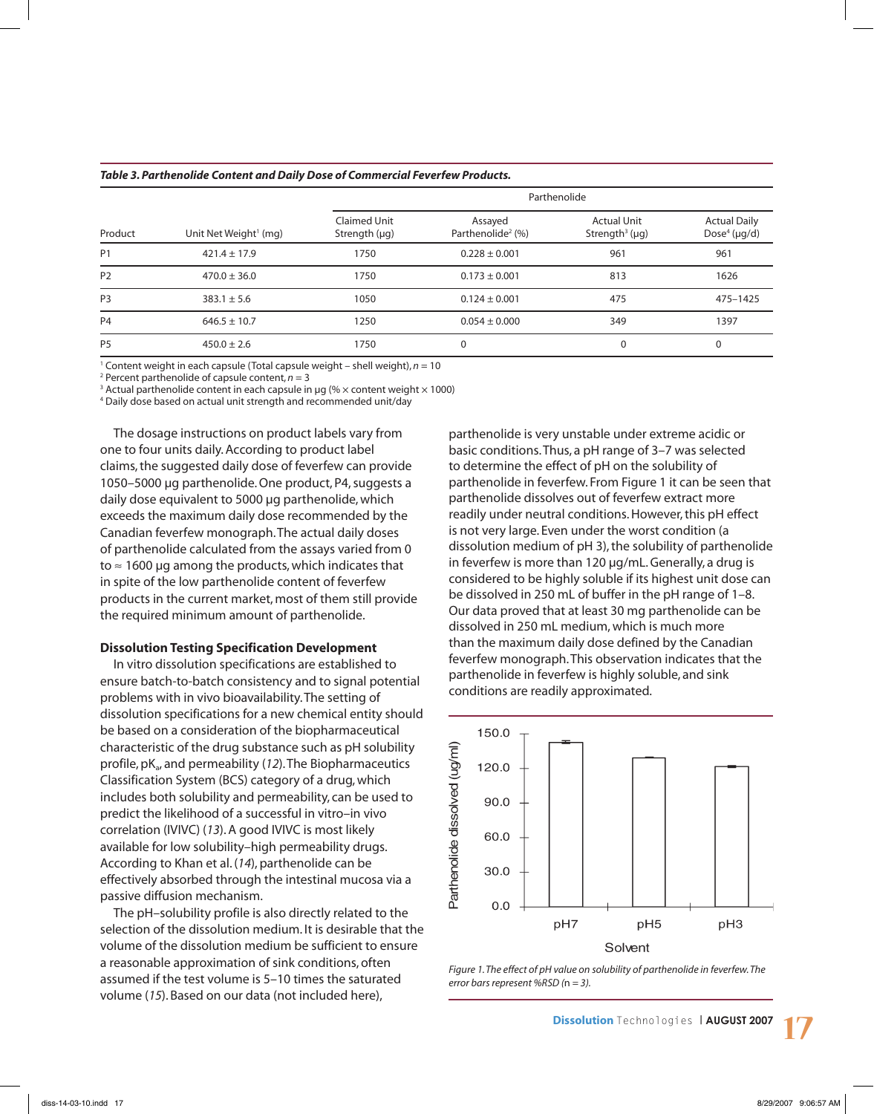| Product        |                                   | Parthenolide                       |                                          |                                                        |                                                       |
|----------------|-----------------------------------|------------------------------------|------------------------------------------|--------------------------------------------------------|-------------------------------------------------------|
|                | Unit Net Weight <sup>1</sup> (mg) | Claimed Unit<br>Strength $(\mu q)$ | Assayed<br>Parthenolide <sup>2</sup> (%) | <b>Actual Unit</b><br>Strength <sup>3</sup> ( $\mu$ g) | <b>Actual Daily</b><br>Dose <sup>4</sup> ( $\mu$ g/d) |
| P <sub>1</sub> | $421.4 \pm 17.9$                  | 1750                               | $0.228 \pm 0.001$                        | 961                                                    | 961                                                   |
| P <sub>2</sub> | $470.0 \pm 36.0$                  | 1750                               | $0.173 \pm 0.001$                        | 813                                                    | 1626                                                  |
| P <sub>3</sub> | $383.1 \pm 5.6$                   | 1050                               | $0.124 \pm 0.001$                        | 475                                                    | 475-1425                                              |
| P <sub>4</sub> | $646.5 \pm 10.7$                  | 1250                               | $0.054 \pm 0.000$                        | 349                                                    | 1397                                                  |
| P <sub>5</sub> | $450.0 \pm 2.6$                   | 1750                               | 0                                        | 0                                                      | 0                                                     |

#### *Table 3. Parthenolide Content and Daily Dose of Commercial Feverfew Products.*

<sup>1</sup> Content weight in each capsule (Total capsule weight – shell weight), *n* = 10<br><sup>2</sup> Percent parthenolide of capsule content *n* = 3

<sup>2</sup> Percent parthenolide of capsule content,  $n = 3$ 

<sup>3</sup> Actual parthenolide content in each capsule in µg (%  $\times$  content weight  $\times$  1000)

4 Daily dose based on actual unit strength and recommended unit/day

The dosage instructions on product labels vary from one to four units daily. According to product label claims, the suggested daily dose of feverfew can provide 1050–5000 µg parthenolide. One product, P4, suggests a daily dose equivalent to 5000 µg parthenolide, which exceeds the maximum daily dose recommended by the Canadian feverfew monograph. The actual daily doses of parthenolide calculated from the assays varied from 0 to  $\approx$  1600 µg among the products, which indicates that in spite of the low parthenolide content of feverfew products in the current market, most of them still provide the required minimum amount of parthenolide.

#### **Dissolution Testing Specification Development**

In vitro dissolution specifications are established to ensure batch-to-batch consistency and to signal potential problems with in vivo bioavailability. The setting of dissolution specifications for a new chemical entity should be based on a consideration of the biopharmaceutical characteristic of the drug substance such as pH solubility profile, pK<sub>a</sub>, and permeability (12). The Biopharmaceutics Classification System (BCS) category of a drug, which includes both solubility and permeability, can be used to predict the likelihood of a successful in vitro–in vivo correlation (IVIVC) (*13*). A good IVIVC is most likely available for low solubility–high permeability drugs. According to Khan et al. (*14*), parthenolide can be effectively absorbed through the intestinal mucosa via a passive diffusion mechanism.

The pH–solubility profile is also directly related to the selection of the dissolution medium. It is desirable that the volume of the dissolution medium be sufficient to ensure a reasonable approximation of sink conditions, often assumed if the test volume is 5–10 times the saturated volume (*15*). Based on our data (not included here),

parthenolide is very unstable under extreme acidic or basic conditions. Thus, a pH range of 3–7 was selected to determine the effect of pH on the solubility of parthenolide in feverfew. From Figure 1 it can be seen that parthenolide dissolves out of feverfew extract more readily under neutral conditions. However, this pH effect is not very large. Even under the worst condition (a dissolution medium of pH 3), the solubility of parthenolide in feverfew is more than 120 µg/mL. Generally, a drug is considered to be highly soluble if its highest unit dose can be dissolved in 250 mL of buffer in the pH range of 1–8. Our data proved that at least 30 mg parthenolide can be dissolved in 250 mL medium, which is much more than the maximum daily dose defined by the Canadian feverfew monograph. This observation indicates that the parthenolide in feverfew is highly soluble, and sink conditions are readily approximated.



*Figure 1. The effect of pH value on solubility of parthenolide in feverfew. The error bars represent %RSD (*n *= 3).*

**Dissolution** Technologies | **AUGUST 2007 17**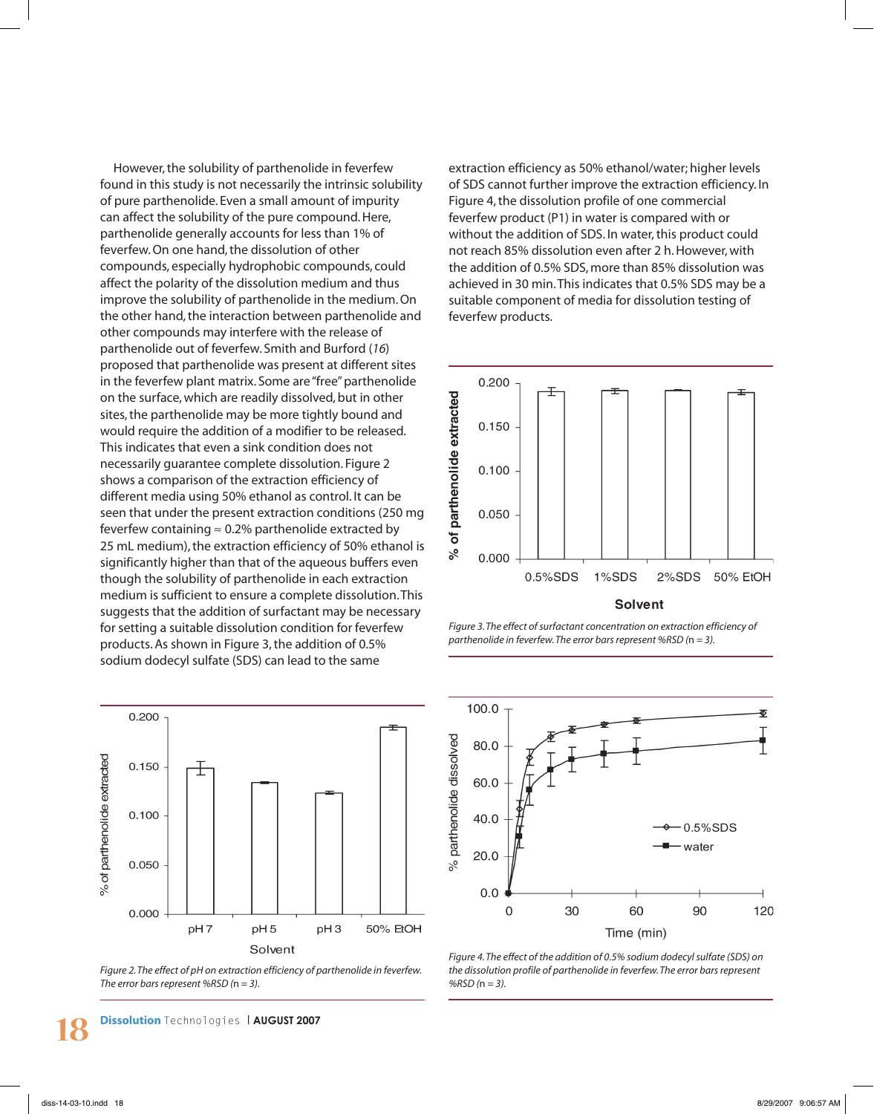However, the solubility of parthenolide in feverfew found in this study is not necessarily the intrinsic solubility of pure parthenolide. Even a small amount of impurity can affect the solubility of the pure compound. Here, parthenolide generally accounts for less than 1% of feverfew. On one hand, the dissolution of other compounds, especially hydrophobic compounds, could affect the polarity of the dissolution medium and thus improve the solubility of parthenolide in the medium. On the other hand, the interaction between parthenolide and other compounds may interfere with the release of parthenolide out of feverfew. Smith and Burford (*16*) proposed that parthenolide was present at different sites in the feverfew plant matrix. Some are "free" parthenolide on the surface, which are readily dissolved, but in other sites, the parthenolide may be more tightly bound and would require the addition of a modifier to be released. This indicates that even a sink condition does not necessarily guarantee complete dissolution. Figure 2 shows a comparison of the extraction efficiency of different media using 50% ethanol as control. It can be seen that under the present extraction conditions (250 mg feverfew containing  $\approx$  0.2% parthenolide extracted by 25 mL medium), the extraction efficiency of 50% ethanol is significantly higher than that of the aqueous buffers even though the solubility of parthenolide in each extraction medium is sufficient to ensure a complete dissolution. This suggests that the addition of surfactant may be necessary for setting a suitable dissolution condition for feverfew products. As shown in Figure 3, the addition of 0.5% sodium dodecyl sulfate (SDS) can lead to the same



*Figure 2. The effect of pH on extraction efficiency of parthenolide in feverfew. The error bars represent %RSD (*n *= 3).*

extraction efficiency as 50% ethanol/water; higher levels of SDS cannot further improve the extraction efficiency. In Figure 4, the dissolution profile of one commercial feverfew product (P1) in water is compared with or without the addition of SDS. In water, this product could not reach 85% dissolution even after 2 h. However, with the addition of 0.5% SDS, more than 85% dissolution was achieved in 30 min. This indicates that 0.5% SDS may be a suitable component of media for dissolution testing of feverfew products.



**Solvent** 

*Figure 3. The effect of surfactant concentration on extraction efficiency of parthenolide in feverfew. The error bars represent %RSD (*n *= 3).*



*Figure 4. The effect of the addition of 0.5% sodium dodecyl sulfate (SDS) on the dissolution profile of parthenolide in feverfew. The error bars represent %RSD (*n *= 3).*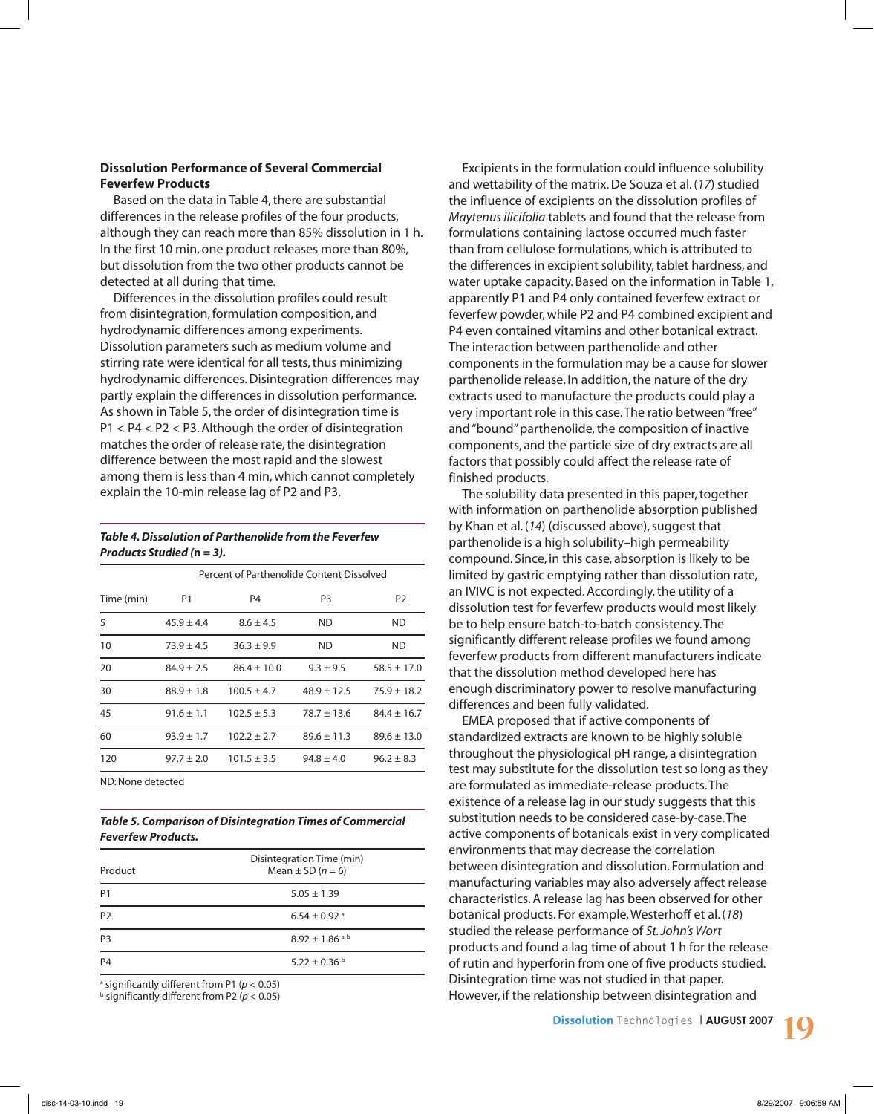# **Dissolution Performance of Several Commercial Feverfew Products**

Based on the data in Table 4, there are substantial differences in the release profiles of the four products, although they can reach more than 85% dissolution in 1 h. In the first 10 min, one product releases more than 80%, but dissolution from the two other products cannot be detected at all during that time.

Differences in the dissolution profiles could result from disintegration, formulation composition, and hydrodynamic differences among experiments. Dissolution parameters such as medium volume and stirring rate were identical for all tests, thus minimizing hydrodynamic differences. Disintegration differences may partly explain the differences in dissolution performance. As shown in Table 5, the order of disintegration time is P1 < P4 < P2 < P3. Although the order of disintegration matches the order of release rate, the disintegration difference between the most rapid and the slowest among them is less than 4 min, which cannot completely explain the 10-min release lag of P2 and P3.

#### *Table 4. Dissolution of Parthenolide from the Feverfew Products Studied (***n** *= 3).*

|            | Percent of Parthenolide Content Dissolved |                 |                 |                 |
|------------|-------------------------------------------|-----------------|-----------------|-----------------|
| Time (min) | P <sub>1</sub>                            | P4              | P <sub>3</sub>  | P <sub>2</sub>  |
| 5          | $45.9 \pm 4.4$                            | $8.6 \pm 4.5$   | ND              | <b>ND</b>       |
| 10         | $73.9 \pm 4.5$                            | $36.3 \pm 9.9$  | ND              | <b>ND</b>       |
| 20         | $84.9 \pm 2.5$                            | $86.4 \pm 10.0$ | $9.3 + 9.5$     | $58.5 \pm 17.0$ |
| 30         | $88.9 \pm 1.8$                            | $100.5 \pm 4.7$ | $48.9 \pm 12.5$ | $75.9 \pm 18.2$ |
| 45         | $91.6 \pm 1.1$                            | $102.5 \pm 5.3$ | $78.7 \pm 13.6$ | $84.4 \pm 16.7$ |
| 60         | $93.9 \pm 1.7$                            | $102.2 \pm 2.7$ | $89.6 \pm 11.3$ | $89.6 \pm 13.0$ |
| 120        | $97.7 \pm 2.0$                            | $101.5 \pm 3.5$ | $94.8 \pm 4.0$  | $96.2 \pm 8.3$  |

ND: None detected

#### *Table 5. Comparison of Disintegration Times of Commercial Feverfew Products.*

| Product        | Disintegration Time (min)<br>Mean $\pm$ SD ( $n = 6$ ) |
|----------------|--------------------------------------------------------|
| P <sub>1</sub> | $5.05 \pm 1.39$                                        |
| P <sub>2</sub> | $6.54 \pm 0.92$ <sup>a</sup>                           |
| P <sub>3</sub> | $8.92 \pm 1.86$ <sup>a,b</sup>                         |
| P4             | $5.22 \pm 0.36$ b                                      |

a significantly different from P1 (*p* < 0.05)

b significantly different from P2 (*p* < 0.05)

Excipients in the formulation could influence solubility and wettability of the matrix. De Souza et al. (*17*) studied the influence of excipients on the dissolution profiles of *Maytenus ilicifolia* tablets and found that the release from formulations containing lactose occurred much faster than from cellulose formulations, which is attributed to the differences in excipient solubility, tablet hardness, and water uptake capacity. Based on the information in Table 1, apparently P1 and P4 only contained feverfew extract or feverfew powder, while P2 and P4 combined excipient and P4 even contained vitamins and other botanical extract. The interaction between parthenolide and other components in the formulation may be a cause for slower parthenolide release. In addition, the nature of the dry extracts used to manufacture the products could play a very important role in this case. The ratio between "free" and "bound" parthenolide, the composition of inactive components, and the particle size of dry extracts are all factors that possibly could affect the release rate of finished products.

The solubility data presented in this paper, together with information on parthenolide absorption published by Khan et al. (*14*) (discussed above), suggest that parthenolide is a high solubility–high permeability compound. Since, in this case, absorption is likely to be limited by gastric emptying rather than dissolution rate, an IVIVC is not expected. Accordingly, the utility of a dissolution test for feverfew products would most likely be to help ensure batch-to-batch consistency. The significantly different release profiles we found among feverfew products from different manufacturers indicate that the dissolution method developed here has enough discriminatory power to resolve manufacturing differences and been fully validated.

EMEA proposed that if active components of standardized extracts are known to be highly soluble throughout the physiological pH range, a disintegration test may substitute for the dissolution test so long as they are formulated as immediate-release products. The existence of a release lag in our study suggests that this substitution needs to be considered case-by-case. The active components of botanicals exist in very complicated environments that may decrease the correlation between disintegration and dissolution. Formulation and manufacturing variables may also adversely affect release characteristics. A release lag has been observed for other botanical products. For example, Westerhoff et al. (*18*) studied the release performance of *St. John's Wort* products and found a lag time of about 1 h for the release of rutin and hyperforin from one of five products studied. Disintegration time was not studied in that paper. However, if the relationship between disintegration and

**Dissolution** Technologies | **AUGUST 2007 19**